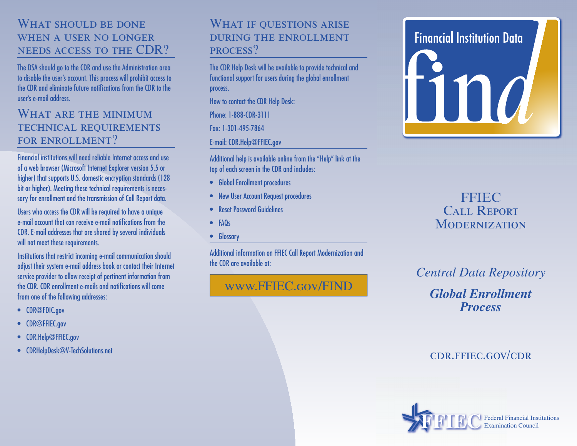### WHAT SHOULD BE DONE when a user no longer needs access to the CDR?

The DSA should go to the CDR and use the Administration area to disable the user's account. This process will prohibit access to the CDR and eliminate future notifications from the CDR to the user's e-mail address.

#### WHAT ARE THE MINIMUM TECHNICAL REQUIREMENTS FOR ENROLLMENT?

Financial institutions will need reliable Internet access and use of a web browser (Microsoft Internet Explorer version 5.5 or higher) that supports U.S. domestic encryption standards (128 bit or higher). Meeting these technical requirements is necessary for enrollment and the transmission of Call Report data.

Users who access the CDR will be required to have a unique e-mail account that can receive e-mail notifications from the CDR. E-mail addresses that are shared by several individuals will not meet these requirements.

Institutions that restrict incoming e-mail communication should adjust their system e-mail address book or contact their Internet service provider to allow receipt of pertinent information from the CDR. CDR enrollment e-mails and notifications will come from one of the following addresses:

- CDR@FDIC.gov
- CDR@FFIEC.gov
- CDR.Help@FFIEC.gov
- CDRHelpDesk@V-TechSolutions.net

### WHAT IF QUESTIONS ARISE during the enrollment process?

The CDR Help Desk will be available to provide technical and functional support for users during the global enrollment process.

How to contact the CDR Help Desk:

Phone: 1-888-CDR-3111

Fax: 1-301-495-7864

E-mail: CDR.Help@FFIEC.gov

Additional help is available online from the "Help" link at the top of each screen in the CDR and includes:

- Global Enrollment procedures
- New User Account Request procedures
- Reset Password Guidelines
- FAQs
- Glossary

Additional information on FFIEC Call Report Modernization and the CDR are available at:

www.FFIEC.gov/FIND

# **Financial Institution Data** ma

# FFIEC CALL REPORT **MODERNIZATION**

# *Central Data Repository*

*Global Enrollment Process*

# $CDR.$ FFIEC.GOV/CDR